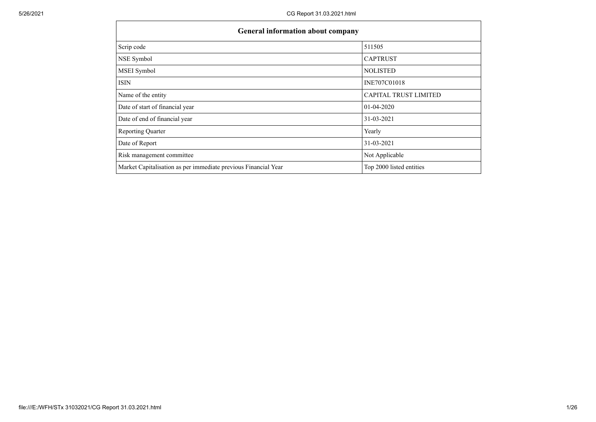| General information about company                              |                          |
|----------------------------------------------------------------|--------------------------|
| Scrip code                                                     | 511505                   |
| NSE Symbol                                                     | <b>CAPTRUST</b>          |
| MSEI Symbol                                                    | <b>NOLISTED</b>          |
| <b>ISIN</b>                                                    | INE707C01018             |
| Name of the entity                                             | CAPITAL TRUST LIMITED    |
| Date of start of financial year                                | 01-04-2020               |
| Date of end of financial year                                  | 31-03-2021               |
| <b>Reporting Quarter</b>                                       | Yearly                   |
| Date of Report                                                 | 31-03-2021               |
| Risk management committee                                      | Not Applicable           |
| Market Capitalisation as per immediate previous Financial Year | Top 2000 listed entities |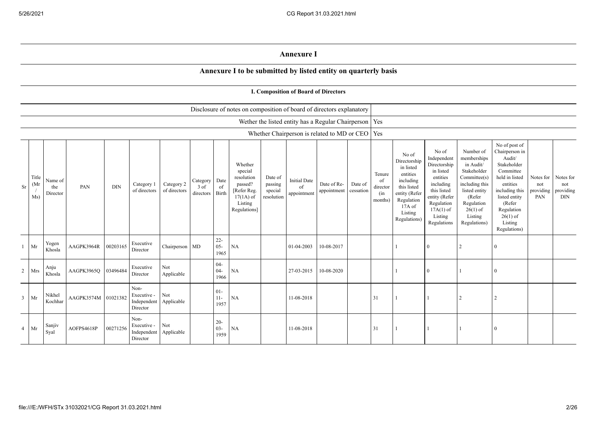## Annexure I

## Annexure I to be submitted by listed entity on quarterly basis

|                |                      |                            |                     |            |                                                |                            |                               |                          |                                                                                                      |                                             | <b>I. Composition of Board of Directors</b> |                                                          |                      |                                            |                                                                                                                                                |                                                                                                                                                                   |                                                                                                                                                                          |                                                                                                                                                                                                         |                                      |                                             |
|----------------|----------------------|----------------------------|---------------------|------------|------------------------------------------------|----------------------------|-------------------------------|--------------------------|------------------------------------------------------------------------------------------------------|---------------------------------------------|---------------------------------------------|----------------------------------------------------------|----------------------|--------------------------------------------|------------------------------------------------------------------------------------------------------------------------------------------------|-------------------------------------------------------------------------------------------------------------------------------------------------------------------|--------------------------------------------------------------------------------------------------------------------------------------------------------------------------|---------------------------------------------------------------------------------------------------------------------------------------------------------------------------------------------------------|--------------------------------------|---------------------------------------------|
|                |                      |                            |                     |            |                                                |                            |                               |                          | Disclosure of notes on composition of board of directors explanatory                                 |                                             |                                             |                                                          |                      |                                            |                                                                                                                                                |                                                                                                                                                                   |                                                                                                                                                                          |                                                                                                                                                                                                         |                                      |                                             |
|                |                      |                            |                     |            |                                                |                            |                               |                          |                                                                                                      |                                             |                                             | Wether the listed entity has a Regular Chairperson   Yes |                      |                                            |                                                                                                                                                |                                                                                                                                                                   |                                                                                                                                                                          |                                                                                                                                                                                                         |                                      |                                             |
|                |                      |                            |                     |            |                                                |                            |                               |                          |                                                                                                      |                                             |                                             | Whether Chairperson is related to MD or CEO   Yes        |                      |                                            |                                                                                                                                                |                                                                                                                                                                   |                                                                                                                                                                          |                                                                                                                                                                                                         |                                      |                                             |
| Sr             | Title<br>(Mr)<br>Ms) | Name of<br>the<br>Director | PAN                 | <b>DIN</b> | Category 1<br>of directors                     | Category 2<br>of directors | Category<br>3 of<br>directors | Date<br>of<br>Birth      | Whether<br>special<br>resolution<br>passed?<br>[Refer Reg.<br>$17(1A)$ of<br>Listing<br>Regulations] | Date of<br>passing<br>special<br>resolution | <b>Initial Date</b><br>of<br>appointment    | Date of Re-<br>appointment                               | Date of<br>cessation | Tenure<br>of<br>director<br>(in<br>months) | No of<br>Directorship<br>in listed<br>entities<br>including<br>this listed<br>entity (Refer<br>Regulation<br>17A of<br>Listing<br>Regulations) | No of<br>Independent<br>Directorship<br>in listed<br>entities<br>including<br>this listed<br>entity (Refer<br>Regulation<br>$17A(1)$ of<br>Listing<br>Regulations | Number of<br>memberships<br>in Audit/<br>Stakeholder<br>Committee(s)<br>including this<br>listed entity<br>(Refer<br>Regulation<br>$26(1)$ of<br>Listing<br>Regulations) | No of post of<br>Chairperson in<br>Audit/<br>Stakeholder<br>Committee<br>held in listed<br>entities<br>including this<br>listed entity<br>(Refer<br>Regulation<br>$26(1)$ of<br>Listing<br>Regulations) | Notes for<br>not<br>providing<br>PAN | Notes for<br>not<br>providing<br><b>DIN</b> |
|                | Mr                   | Yogen<br>Khosla            | AAGPK3964R          | 00203165   | Executive<br>Director                          | Chairperson MD             |                               | $22 -$<br>$05 -$<br>1965 | NA                                                                                                   |                                             | 01-04-2003                                  | 10-08-2017                                               |                      |                                            |                                                                                                                                                | $\Omega$                                                                                                                                                          | 2                                                                                                                                                                        | $\Omega$                                                                                                                                                                                                |                                      |                                             |
| $\overline{2}$ | Mrs                  | Anju<br>Khosla             | AAGPK3965Q          | 03496484   | Executive<br>Director                          | Not<br>Applicable          |                               | $04 -$<br>$04 -$<br>1966 | NA                                                                                                   |                                             | 27-03-2015                                  | 10-08-2020                                               |                      |                                            |                                                                                                                                                | $\Omega$                                                                                                                                                          |                                                                                                                                                                          | $\overline{0}$                                                                                                                                                                                          |                                      |                                             |
| $\overline{3}$ | Mr                   | Nikhel<br>Kochhar          | AAGPK3574M 01021382 |            | Non-<br>Executive -<br>Independent<br>Director | Not<br>Applicable          |                               | $01 -$<br>$11 -$<br>1957 | NA                                                                                                   |                                             | 11-08-2018                                  |                                                          |                      | 31                                         |                                                                                                                                                |                                                                                                                                                                   | $\overline{2}$                                                                                                                                                           | $\overline{2}$                                                                                                                                                                                          |                                      |                                             |
| $\overline{4}$ | Mr                   | Sanjiv<br>Syal             | AOFPS4618P          | 00271256   | Non-<br>Executive -<br>Independent<br>Director | Not<br>Applicable          |                               | $20 -$<br>$03 -$<br>1959 | NA                                                                                                   |                                             | 11-08-2018                                  |                                                          |                      | 31                                         |                                                                                                                                                |                                                                                                                                                                   |                                                                                                                                                                          | $\theta$                                                                                                                                                                                                |                                      |                                             |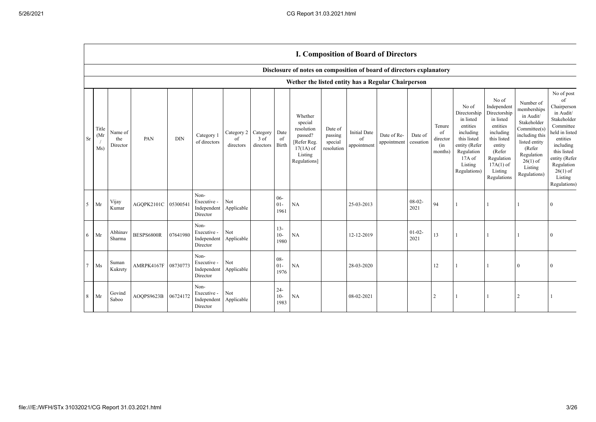|        |                      |                            |                     |            |                                                |                               |                               |                            |                                                                                                      |                                             |                                          | <b>1. Composition of Board of Directors</b> |                      |                                            |                                                                                                                                                  |                                                                                                                                                                      |                                                                                                                                                                          |                                                                                                                                                                                                            |
|--------|----------------------|----------------------------|---------------------|------------|------------------------------------------------|-------------------------------|-------------------------------|----------------------------|------------------------------------------------------------------------------------------------------|---------------------------------------------|------------------------------------------|---------------------------------------------|----------------------|--------------------------------------------|--------------------------------------------------------------------------------------------------------------------------------------------------|----------------------------------------------------------------------------------------------------------------------------------------------------------------------|--------------------------------------------------------------------------------------------------------------------------------------------------------------------------|------------------------------------------------------------------------------------------------------------------------------------------------------------------------------------------------------------|
|        |                      |                            |                     |            |                                                |                               |                               |                            | Disclosure of notes on composition of board of directors explanatory                                 |                                             |                                          |                                             |                      |                                            |                                                                                                                                                  |                                                                                                                                                                      |                                                                                                                                                                          |                                                                                                                                                                                                            |
|        |                      |                            |                     |            |                                                |                               |                               |                            | Wether the listed entity has a Regular Chairperson                                                   |                                             |                                          |                                             |                      |                                            |                                                                                                                                                  |                                                                                                                                                                      |                                                                                                                                                                          |                                                                                                                                                                                                            |
| Sr     | Title<br>(Mr)<br>Ms) | Name of<br>the<br>Director | PAN                 | <b>DIN</b> | Category 1<br>of directors                     | Category 2<br>of<br>directors | Category<br>3 of<br>directors | Date<br>of<br><b>Birth</b> | Whether<br>special<br>resolution<br>passed?<br>[Refer Reg.<br>$17(1A)$ of<br>Listing<br>Regulations] | Date of<br>passing<br>special<br>resolution | <b>Initial Date</b><br>of<br>appointment | Date of Re-<br>appointment                  | Date of<br>cessation | Tenure<br>of<br>director<br>(in<br>months) | No of<br>Directorship<br>in listed<br>entities<br>including<br>this listed<br>entity (Refer<br>Regulation<br>$17A$ of<br>Listing<br>Regulations) | No of<br>Independent<br>Directorship<br>in listed<br>entities<br>including<br>this listed<br>entity<br>(Refer<br>Regulation<br>$17A(1)$ of<br>Listing<br>Regulations | Number of<br>memberships<br>in Audit/<br>Stakeholder<br>Committee(s)<br>including this<br>listed entity<br>(Refer<br>Regulation<br>$26(1)$ of<br>Listing<br>Regulations) | No of post<br>of<br>Chairperson<br>in Audit/<br>Stakeholder<br>Committee<br>held in listed<br>entities<br>including<br>this listed<br>entity (Refer<br>Regulation<br>$26(1)$ of<br>Listing<br>Regulations) |
| 5      | Mr                   | Vijay<br>Kumar             | AGOPK2101C 05300541 |            | Non-<br>Executive -<br>Independent<br>Director | Not<br>Applicable             |                               | $06 -$<br>$01-$<br>1961    | NA                                                                                                   |                                             | 25-03-2013                               |                                             | $08 - 02 -$<br>2021  | 94                                         |                                                                                                                                                  |                                                                                                                                                                      |                                                                                                                                                                          | $\Omega$                                                                                                                                                                                                   |
| 6      | Mr                   | Abhinav<br>Sharma          | BESPS6800R          | 07641980   | Non-<br>Executive -<br>Independent<br>Director | Not<br>Applicable             |                               | $13 -$<br>$10-$<br>1980    | NA                                                                                                   |                                             | 12-12-2019                               |                                             | $01 - 02 -$<br>2021  | 13                                         |                                                                                                                                                  |                                                                                                                                                                      |                                                                                                                                                                          | $\Omega$                                                                                                                                                                                                   |
| $\tau$ | Ms                   | Suman<br>Kukrety           | AMRPK4167F 08730773 |            | Non-<br>Executive -<br>Independent<br>Director | Not<br>Applicable             |                               | $08 -$<br>$01 -$<br>1976   | NA                                                                                                   |                                             | 28-03-2020                               |                                             |                      | 12                                         |                                                                                                                                                  |                                                                                                                                                                      | $\Omega$                                                                                                                                                                 |                                                                                                                                                                                                            |
| 8      | Mr                   | Govind<br>Saboo            | AOQPS9623B          | 06724172   | Non-<br>Executive -<br>Independent<br>Director | Not<br>Applicable             |                               | $24 -$<br>$10-$<br>1983    | NA                                                                                                   |                                             | 08-02-2021                               |                                             |                      |                                            |                                                                                                                                                  |                                                                                                                                                                      | $\overline{2}$                                                                                                                                                           |                                                                                                                                                                                                            |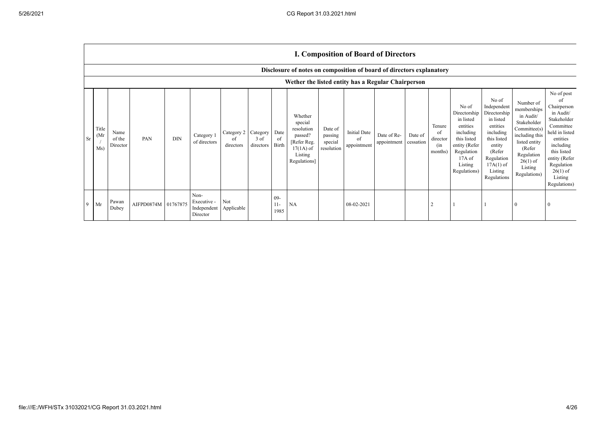|           |                     |                                                    |                     |            |                                                |                                          |                     |                         |                                                                                                      |                                             |                                          | <b>I. Composition of Board of Directors</b> |                      |                                            |                                                                                                                                                  |                                                                                                                                                                      |                                                                                                                                                                          |                                                                                                                                                                                                            |
|-----------|---------------------|----------------------------------------------------|---------------------|------------|------------------------------------------------|------------------------------------------|---------------------|-------------------------|------------------------------------------------------------------------------------------------------|---------------------------------------------|------------------------------------------|---------------------------------------------|----------------------|--------------------------------------------|--------------------------------------------------------------------------------------------------------------------------------------------------|----------------------------------------------------------------------------------------------------------------------------------------------------------------------|--------------------------------------------------------------------------------------------------------------------------------------------------------------------------|------------------------------------------------------------------------------------------------------------------------------------------------------------------------------------------------------------|
|           |                     |                                                    |                     |            |                                                |                                          |                     |                         | Disclosure of notes on composition of board of directors explanatory                                 |                                             |                                          |                                             |                      |                                            |                                                                                                                                                  |                                                                                                                                                                      |                                                                                                                                                                          |                                                                                                                                                                                                            |
|           |                     | Wether the listed entity has a Regular Chairperson |                     |            |                                                |                                          |                     |                         |                                                                                                      |                                             |                                          |                                             |                      |                                            |                                                                                                                                                  |                                                                                                                                                                      |                                                                                                                                                                          |                                                                                                                                                                                                            |
| <b>Sr</b> | Title<br>(Mr<br>Ms) | Name<br>of the<br>Director                         | PAN                 | <b>DIN</b> | Category 1<br>of directors                     | Category 2   Category<br>of<br>directors | $3$ of<br>directors | Date<br>of<br>Birth     | Whether<br>special<br>resolution<br>passed?<br>[Refer Reg.<br>$17(1A)$ of<br>Listing<br>Regulations] | Date of<br>passing<br>special<br>resolution | <b>Initial Date</b><br>of<br>appointment | Date of Re-<br>appointment                  | Date of<br>cessation | Tenure<br>of<br>director<br>(in<br>months) | No of<br>Directorship<br>in listed<br>entities<br>including<br>this listed<br>entity (Refer<br>Regulation<br>$17A$ of<br>Listing<br>Regulations) | No of<br>Independent<br>Directorship<br>in listed<br>entities<br>including<br>this listed<br>entity<br>(Refer<br>Regulation<br>$17A(1)$ of<br>Listing<br>Regulations | Number of<br>memberships<br>in Audit/<br>Stakeholder<br>Committee(s)<br>including this<br>listed entity<br>(Refer<br>Regulation<br>$26(1)$ of<br>Listing<br>Regulations) | No of post<br>of<br>Chairperson<br>in Audit/<br>Stakeholder<br>Committee<br>held in listed<br>entities<br>including<br>this listed<br>entity (Refer<br>Regulation<br>$26(1)$ of<br>Listing<br>Regulations) |
| 9         | Mr                  | Pawan<br>Dubey                                     | AIFPD0874M 01767875 |            | Non-<br>Executive -<br>Independent<br>Director | Not<br>Applicable                        |                     | $09-$<br>$11 -$<br>1985 | <b>NA</b>                                                                                            |                                             | 08-02-2021                               |                                             |                      |                                            |                                                                                                                                                  |                                                                                                                                                                      | $\theta$                                                                                                                                                                 |                                                                                                                                                                                                            |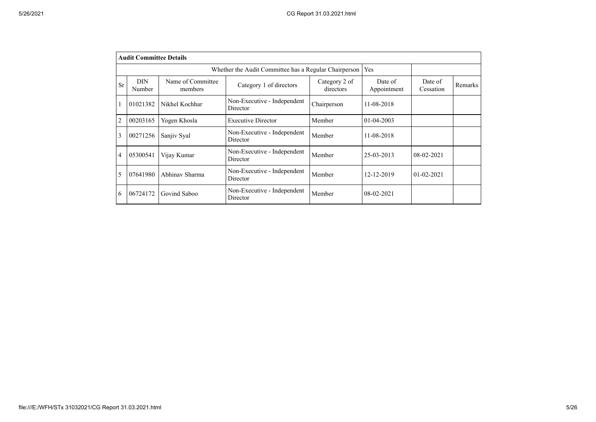|                | <b>Audit Committee Details</b> |                              |                                                       |                            |                        |                      |         |
|----------------|--------------------------------|------------------------------|-------------------------------------------------------|----------------------------|------------------------|----------------------|---------|
|                |                                |                              | Whether the Audit Committee has a Regular Chairperson |                            | Yes                    |                      |         |
| <b>Sr</b>      | <b>DIN</b><br>Number           | Name of Committee<br>members | Category 1 of directors                               | Category 2 of<br>directors | Date of<br>Appointment | Date of<br>Cessation | Remarks |
|                | 01021382                       | Nikhel Kochhar               | Non-Executive - Independent<br>Director               | Chairperson                | 11-08-2018             |                      |         |
| $\overline{2}$ | 00203165                       | Yogen Khosla                 | <b>Executive Director</b>                             | Member                     | $01-04-2003$           |                      |         |
| 3              | 00271256                       | Sanjiy Syal                  | Non-Executive - Independent<br>Director               | Member                     | 11-08-2018             |                      |         |
| $\overline{4}$ | 05300541                       | Vijay Kumar                  | Non-Executive - Independent<br>Director               | Member                     | 25-03-2013             | $08 - 02 - 2021$     |         |
| 5              | 07641980                       | Abhinav Sharma               | Non-Executive - Independent<br>Director               | Member                     | 12-12-2019             | $01 - 02 - 2021$     |         |
| 6              | 06724172                       | Govind Saboo                 | Non-Executive - Independent<br>Director               | Member                     | 08-02-2021             |                      |         |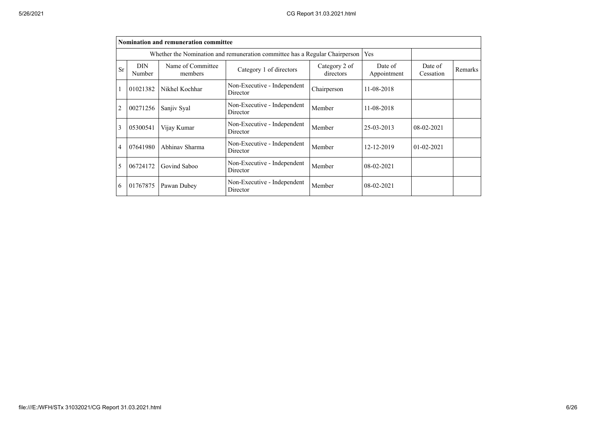|                |                      | Nomination and remuneration committee |                                                                             |                            |                        |                      |         |
|----------------|----------------------|---------------------------------------|-----------------------------------------------------------------------------|----------------------------|------------------------|----------------------|---------|
|                |                      |                                       | Whether the Nomination and remuneration committee has a Regular Chairperson |                            | Yes                    |                      |         |
| <b>Sr</b>      | <b>DIN</b><br>Number | Name of Committee<br>members          | Category 1 of directors                                                     | Category 2 of<br>directors | Date of<br>Appointment | Date of<br>Cessation | Remarks |
|                | 01021382             | Nikhel Kochhar                        | Non-Executive - Independent<br>Director                                     | Chairperson                | 11-08-2018             |                      |         |
| $\overline{c}$ | 00271256             | Sanjiv Syal                           | Non-Executive - Independent<br>Director                                     | Member                     | 11-08-2018             |                      |         |
| 3              | 05300541             | Vijay Kumar                           | Non-Executive - Independent<br>Director                                     | Member                     | 25-03-2013             | 08-02-2021           |         |
| 4              | 07641980             | Abhinav Sharma                        | Non-Executive - Independent<br>Director                                     | Member                     | 12-12-2019             | $01 - 02 - 2021$     |         |
| 5              | 06724172             | Govind Saboo                          | Member                                                                      | 08-02-2021                 |                        |                      |         |
| 6              | 01767875             | Pawan Dubey                           | Non-Executive - Independent<br>Director                                     | Member                     | 08-02-2021             |                      |         |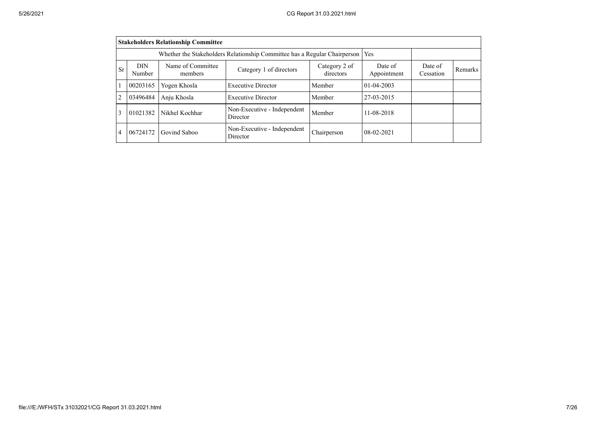|           | <b>Stakeholders Relationship Committee</b> |                              |                                                                           |                            |                        |                      |         |  |  |  |  |
|-----------|--------------------------------------------|------------------------------|---------------------------------------------------------------------------|----------------------------|------------------------|----------------------|---------|--|--|--|--|
|           |                                            |                              | Whether the Stakeholders Relationship Committee has a Regular Chairperson |                            | <b>Yes</b>             |                      |         |  |  |  |  |
| <b>Sr</b> | <b>DIN</b><br>Number                       | Name of Committee<br>members | Category 1 of directors                                                   | Category 2 of<br>directors | Date of<br>Appointment | Date of<br>Cessation | Remarks |  |  |  |  |
|           | 00203165                                   | Yogen Khosla                 | <b>Executive Director</b>                                                 | Member                     | $01 - 04 - 2003$       |                      |         |  |  |  |  |
| 2         | 03496484                                   | Anju Khosla                  | <b>Executive Director</b>                                                 | Member                     | 27-03-2015             |                      |         |  |  |  |  |
| 3         | 01021382                                   | Nikhel Kochhar               | Non-Executive - Independent<br>Director                                   | Member                     | 11-08-2018             |                      |         |  |  |  |  |
| 4         | 06724172                                   | Govind Saboo                 | Non-Executive - Independent<br>Director                                   | Chairperson                | 08-02-2021             |                      |         |  |  |  |  |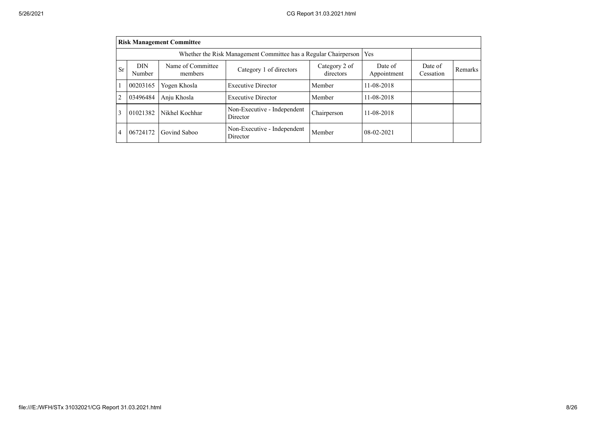|           |                      | <b>Risk Management Committee</b> |                                                                 |                            |                        |                      |         |  |  |  |  |  |
|-----------|----------------------|----------------------------------|-----------------------------------------------------------------|----------------------------|------------------------|----------------------|---------|--|--|--|--|--|
|           |                      |                                  | Whether the Risk Management Committee has a Regular Chairperson |                            | Yes                    |                      |         |  |  |  |  |  |
| <b>Sr</b> | <b>DIN</b><br>Number | Name of Committee<br>members     | Category 1 of directors                                         | Category 2 of<br>directors | Date of<br>Appointment | Date of<br>Cessation | Remarks |  |  |  |  |  |
|           | 00203165             | Yogen Khosla                     | <b>Executive Director</b>                                       | Member                     | 11-08-2018             |                      |         |  |  |  |  |  |
| 2         | 03496484             | Anju Khosla                      | <b>Executive Director</b>                                       | Member                     | 11-08-2018             |                      |         |  |  |  |  |  |
| 3         | 01021382             | Nikhel Kochhar                   | Non-Executive - Independent<br>Director                         | Chairperson                | 11-08-2018             |                      |         |  |  |  |  |  |
| 4         | 06724172             | Govind Saboo                     | Non-Executive - Independent<br>Director                         | Member                     | 08-02-2021             |                      |         |  |  |  |  |  |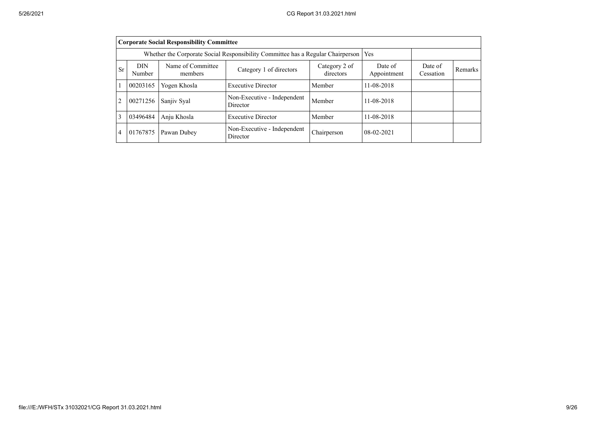|                | <b>Corporate Social Responsibility Committee</b> |                              |                                                                                 |                            |                        |                      |         |  |  |  |  |
|----------------|--------------------------------------------------|------------------------------|---------------------------------------------------------------------------------|----------------------------|------------------------|----------------------|---------|--|--|--|--|
|                |                                                  |                              | Whether the Corporate Social Responsibility Committee has a Regular Chairperson |                            | Yes                    |                      |         |  |  |  |  |
| <b>Sr</b>      | <b>DIN</b><br>Number                             | Name of Committee<br>members | Category 1 of directors                                                         | Category 2 of<br>directors | Date of<br>Appointment | Date of<br>Cessation | Remarks |  |  |  |  |
| 1              | 00203165                                         | Yogen Khosla                 | <b>Executive Director</b>                                                       | Member                     | 11-08-2018             |                      |         |  |  |  |  |
| $\overline{2}$ | 00271256                                         | Sanjiy Syal                  | Non-Executive - Independent<br>Director                                         | Member                     | 11-08-2018             |                      |         |  |  |  |  |
| 3              | 03496484                                         | Anju Khosla                  | <b>Executive Director</b>                                                       | Member                     | 11-08-2018             |                      |         |  |  |  |  |
| $\overline{4}$ | 01767875                                         | Pawan Dubey                  | Non-Executive - Independent<br>Director                                         | Chairperson                | $08-02-2021$           |                      |         |  |  |  |  |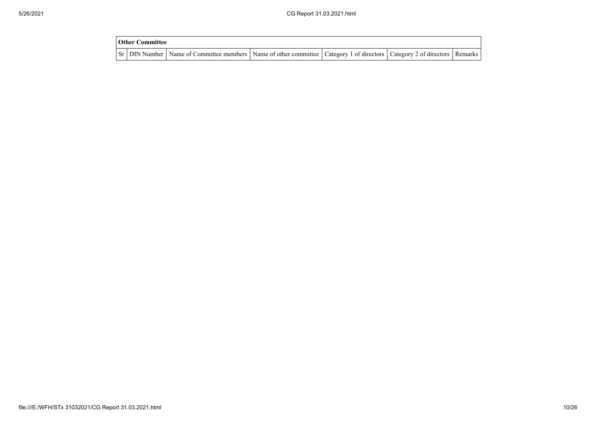| <b>Other Committee</b> |                                                                                                                                     |  |  |
|------------------------|-------------------------------------------------------------------------------------------------------------------------------------|--|--|
|                        | Sr   DIN Number   Name of Committee members   Name of other committee   Category 1 of directors   Category 2 of directors   Remarks |  |  |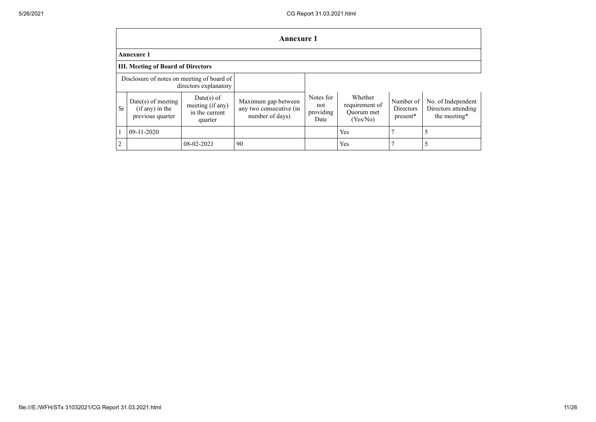|                | <b>Annexure 1</b>                                           |                                                               |                                                                   |                                       |                                                     |                                    |                                                           |  |  |  |  |  |  |  |
|----------------|-------------------------------------------------------------|---------------------------------------------------------------|-------------------------------------------------------------------|---------------------------------------|-----------------------------------------------------|------------------------------------|-----------------------------------------------------------|--|--|--|--|--|--|--|
|                | <b>Annexure 1</b>                                           |                                                               |                                                                   |                                       |                                                     |                                    |                                                           |  |  |  |  |  |  |  |
|                | <b>III. Meeting of Board of Directors</b>                   |                                                               |                                                                   |                                       |                                                     |                                    |                                                           |  |  |  |  |  |  |  |
|                | Disclosure of notes on meeting of board of                  | directors explanatory                                         |                                                                   |                                       |                                                     |                                    |                                                           |  |  |  |  |  |  |  |
| <b>Sr</b>      | $Date(s)$ of meeting<br>(if any) in the<br>previous quarter | $Date(s)$ of<br>meeting (if any)<br>in the current<br>quarter | Maximum gap between<br>any two consecutive (in<br>number of days) | Notes for<br>not<br>providing<br>Date | Whether<br>requirement of<br>Ouorum met<br>(Yes/No) | Number of<br>Directors<br>present* | No. of Independent<br>Directors attending<br>the meeting* |  |  |  |  |  |  |  |
|                | 09-11-2020                                                  |                                                               |                                                                   |                                       | Yes                                                 |                                    |                                                           |  |  |  |  |  |  |  |
| $\overline{2}$ |                                                             | 08-02-2021                                                    | 90                                                                |                                       | Yes                                                 |                                    |                                                           |  |  |  |  |  |  |  |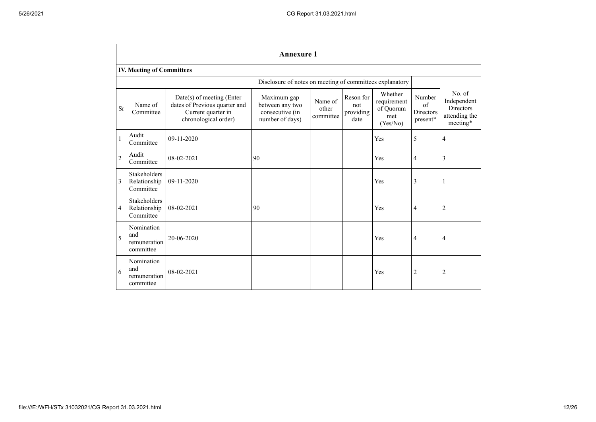|                | <b>Annexure 1</b>                                |                                                                                                          |                                                                      |                               |                                       |                                                        |                                       |                                                                                |  |  |  |
|----------------|--------------------------------------------------|----------------------------------------------------------------------------------------------------------|----------------------------------------------------------------------|-------------------------------|---------------------------------------|--------------------------------------------------------|---------------------------------------|--------------------------------------------------------------------------------|--|--|--|
|                | <b>IV. Meeting of Committees</b>                 |                                                                                                          |                                                                      |                               |                                       |                                                        |                                       |                                                                                |  |  |  |
|                |                                                  |                                                                                                          | Disclosure of notes on meeting of committees explanatory             |                               |                                       |                                                        |                                       |                                                                                |  |  |  |
| <b>Sr</b>      | Name of<br>Committee                             | Date(s) of meeting (Enter<br>dates of Previous quarter and<br>Current quarter in<br>chronological order) | Maximum gap<br>between any two<br>consecutive (in<br>number of days) | Name of<br>other<br>committee | Reson for<br>not<br>providing<br>date | Whether<br>requirement<br>of Quorum<br>met<br>(Yes/No) | Number<br>of<br>Directors<br>present* | No. of<br>Independent<br><b>Directors</b><br>attending the<br>$\rm{meeting}^*$ |  |  |  |
| $\mathbf{1}$   | Audit<br>Committee                               | 09-11-2020                                                                                               |                                                                      |                               |                                       | Yes                                                    | 5                                     | $\overline{4}$                                                                 |  |  |  |
| $\overline{2}$ | Audit<br>Committee                               | 08-02-2021                                                                                               | 90                                                                   |                               |                                       | Yes                                                    | $\overline{4}$                        | 3                                                                              |  |  |  |
| 3              | <b>Stakeholders</b><br>Relationship<br>Committee | 09-11-2020                                                                                               |                                                                      |                               |                                       | Yes                                                    | 3                                     | -1                                                                             |  |  |  |
| $\overline{4}$ | <b>Stakeholders</b><br>Relationship<br>Committee | 08-02-2021                                                                                               | 90                                                                   |                               |                                       | Yes                                                    | $\overline{4}$                        | $\overline{c}$                                                                 |  |  |  |
| 5              | Nomination<br>and<br>remuneration<br>committee   | 20-06-2020                                                                                               |                                                                      |                               |                                       | Yes                                                    | 4                                     | 4                                                                              |  |  |  |
| 6              | Nomination<br>and<br>remuneration<br>committee   | 08-02-2021                                                                                               |                                                                      |                               |                                       | Yes                                                    | $\overline{c}$                        | $\overline{c}$                                                                 |  |  |  |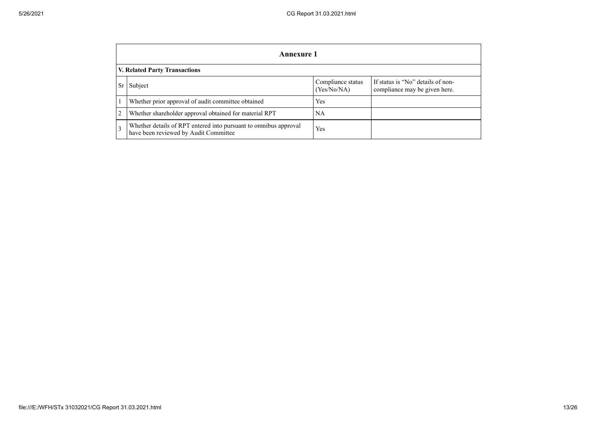|                | <b>Annexure 1</b>                                                                                         |                                  |                                                                    |  |  |  |
|----------------|-----------------------------------------------------------------------------------------------------------|----------------------------------|--------------------------------------------------------------------|--|--|--|
|                | V. Related Party Transactions                                                                             |                                  |                                                                    |  |  |  |
| <b>Sr</b>      | Subject                                                                                                   | Compliance status<br>(Yes/No/NA) | If status is "No" details of non-<br>compliance may be given here. |  |  |  |
|                | Whether prior approval of audit committee obtained                                                        | Yes                              |                                                                    |  |  |  |
| $\overline{2}$ | Whether shareholder approval obtained for material RPT                                                    | <b>NA</b>                        |                                                                    |  |  |  |
| 3              | Whether details of RPT entered into pursuant to omnibus approval<br>have been reviewed by Audit Committee | Yes                              |                                                                    |  |  |  |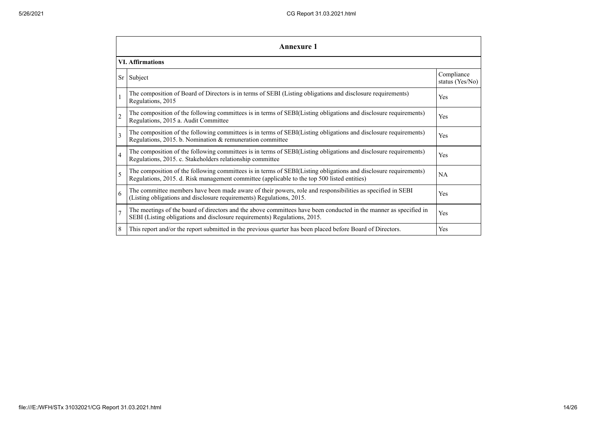|                | <b>Annexure 1</b>                                                                                                                                                                                               |                               |  |  |  |
|----------------|-----------------------------------------------------------------------------------------------------------------------------------------------------------------------------------------------------------------|-------------------------------|--|--|--|
|                | <b>VI.</b> Affirmations                                                                                                                                                                                         |                               |  |  |  |
| Sr             | Subject                                                                                                                                                                                                         | Compliance<br>status (Yes/No) |  |  |  |
|                | The composition of Board of Directors is in terms of SEBI (Listing obligations and disclosure requirements)<br>Regulations, 2015                                                                                | Yes                           |  |  |  |
| $\overline{c}$ | The composition of the following committees is in terms of SEBI(Listing obligations and disclosure requirements)<br>Regulations, 2015 a. Audit Committee                                                        | Yes                           |  |  |  |
| $\overline{3}$ | The composition of the following committees is in terms of SEBI(Listing obligations and disclosure requirements)<br>Regulations, 2015. b. Nomination & remuneration committee                                   | <b>Yes</b>                    |  |  |  |
| $\overline{4}$ | The composition of the following committees is in terms of SEBI(Listing obligations and disclosure requirements)<br>Regulations, 2015. c. Stakeholders relationship committee                                   | <b>Yes</b>                    |  |  |  |
| 5              | The composition of the following committees is in terms of SEBI(Listing obligations and disclosure requirements)<br>Regulations, 2015. d. Risk management committee (applicable to the top 500 listed entities) | NA                            |  |  |  |
| 6              | The committee members have been made aware of their powers, role and responsibilities as specified in SEBI<br>(Listing obligations and disclosure requirements) Regulations, 2015.                              | Yes                           |  |  |  |
| $\overline{7}$ | The meetings of the board of directors and the above committees have been conducted in the manner as specified in<br>SEBI (Listing obligations and disclosure requirements) Regulations, 2015.                  | Yes                           |  |  |  |
| 8              | This report and/or the report submitted in the previous quarter has been placed before Board of Directors.                                                                                                      | Yes                           |  |  |  |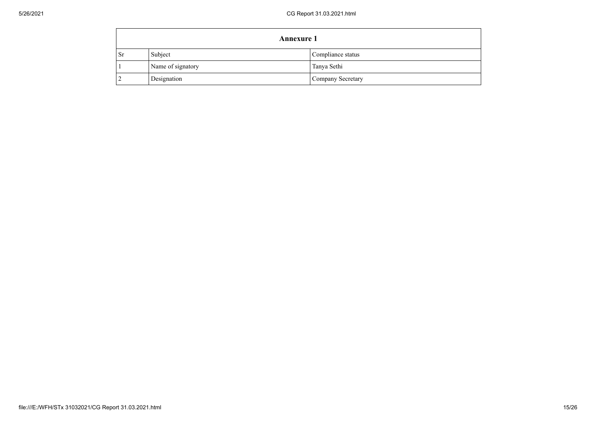| <b>Annexure 1</b> |                   |                   |  |  |
|-------------------|-------------------|-------------------|--|--|
| <b>Sr</b>         | Subject           | Compliance status |  |  |
|                   | Name of signatory | Tanya Sethi       |  |  |
|                   | Designation       | Company Secretary |  |  |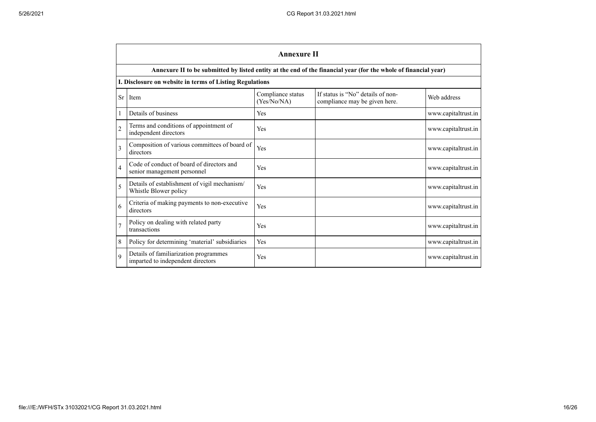|                | <b>Annexure II</b>                                                         |                                  |                                                                                                                 |                     |  |  |
|----------------|----------------------------------------------------------------------------|----------------------------------|-----------------------------------------------------------------------------------------------------------------|---------------------|--|--|
|                |                                                                            |                                  | Annexure II to be submitted by listed entity at the end of the financial year (for the whole of financial year) |                     |  |  |
|                | I. Disclosure on website in terms of Listing Regulations                   |                                  |                                                                                                                 |                     |  |  |
| <b>Sr</b>      | Item                                                                       | Compliance status<br>(Yes/No/NA) | If status is "No" details of non-<br>compliance may be given here.                                              | Web address         |  |  |
|                | Details of business                                                        | Yes                              |                                                                                                                 | www.capitaltrust.in |  |  |
| $\overline{2}$ | Terms and conditions of appointment of<br>independent directors            | Yes                              |                                                                                                                 | www.capitaltrust.in |  |  |
| $\mathcal{E}$  | Composition of various committees of board of<br>directors                 | Yes                              |                                                                                                                 | www.capitaltrust.in |  |  |
| $\overline{4}$ | Code of conduct of board of directors and<br>senior management personnel   | Yes                              |                                                                                                                 | www.capitaltrust.in |  |  |
| 5              | Details of establishment of vigil mechanism/<br>Whistle Blower policy      | Yes                              |                                                                                                                 | www.capitaltrust.in |  |  |
| 6              | Criteria of making payments to non-executive<br>directors                  | Yes                              |                                                                                                                 | www.capitaltrust.in |  |  |
|                | Policy on dealing with related party<br>transactions                       | Yes                              |                                                                                                                 | www.capitaltrust.in |  |  |
| 8              | Policy for determining 'material' subsidiaries                             | Yes                              |                                                                                                                 | www.capitaltrust.in |  |  |
| $\mathbf Q$    | Details of familiarization programmes<br>imparted to independent directors | Yes                              |                                                                                                                 | www.capitaltrust.in |  |  |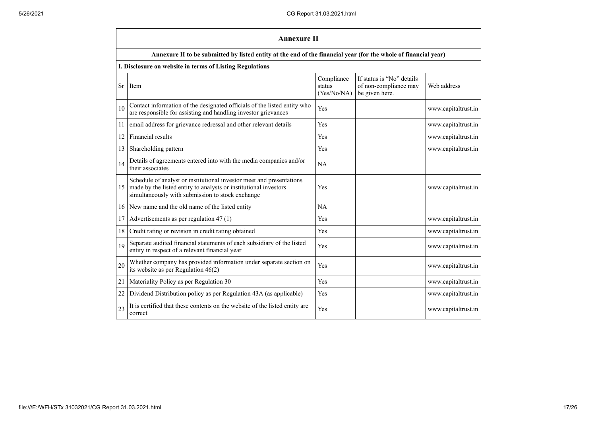|           | <b>Annexure II</b>                                                                                                                                                                           |                                     |                                                                      |                     |  |
|-----------|----------------------------------------------------------------------------------------------------------------------------------------------------------------------------------------------|-------------------------------------|----------------------------------------------------------------------|---------------------|--|
|           | Annexure II to be submitted by listed entity at the end of the financial year (for the whole of financial year)                                                                              |                                     |                                                                      |                     |  |
|           | I. Disclosure on website in terms of Listing Regulations                                                                                                                                     |                                     |                                                                      |                     |  |
| <b>Sr</b> | Item                                                                                                                                                                                         | Compliance<br>status<br>(Yes/No/NA) | If status is "No" details<br>of non-compliance may<br>be given here. | Web address         |  |
| 10        | Contact information of the designated officials of the listed entity who<br>are responsible for assisting and handling investor grievances                                                   | Yes                                 |                                                                      | www.capitaltrust.in |  |
| 11        | email address for grievance redressal and other relevant details                                                                                                                             | Yes                                 |                                                                      | www.capitaltrust.in |  |
| 12        | Financial results                                                                                                                                                                            | Yes                                 |                                                                      | www.capitaltrust.in |  |
| 13        | Shareholding pattern                                                                                                                                                                         | Yes                                 |                                                                      | www.capitaltrust.in |  |
| 14        | Details of agreements entered into with the media companies and/or<br>their associates                                                                                                       | NA                                  |                                                                      |                     |  |
| 15        | Schedule of analyst or institutional investor meet and presentations<br>made by the listed entity to analysts or institutional investors<br>simultaneously with submission to stock exchange | Yes                                 |                                                                      | www.capitaltrust.in |  |
| 16        | New name and the old name of the listed entity                                                                                                                                               | NA                                  |                                                                      |                     |  |
| 17        | Advertisements as per regulation 47 (1)                                                                                                                                                      | Yes                                 |                                                                      | www.capitaltrust.in |  |
| 18        | Credit rating or revision in credit rating obtained                                                                                                                                          | Yes                                 |                                                                      | www.capitaltrust.in |  |
| 19        | Separate audited financial statements of each subsidiary of the listed<br>entity in respect of a relevant financial year                                                                     | Yes                                 |                                                                      | www.capitaltrust.in |  |
| 20        | Whether company has provided information under separate section on<br>its website as per Regulation $46(2)$                                                                                  | Yes                                 |                                                                      | www.capitaltrust.in |  |
| 21        | Materiality Policy as per Regulation 30                                                                                                                                                      | Yes                                 |                                                                      | www.capitaltrust.in |  |
| 22        | Dividend Distribution policy as per Regulation 43A (as applicable)                                                                                                                           | Yes                                 |                                                                      | www.capitaltrust.in |  |
| 23        | It is certified that these contents on the website of the listed entity are<br>correct                                                                                                       | Yes                                 |                                                                      | www.capitaltrust.in |  |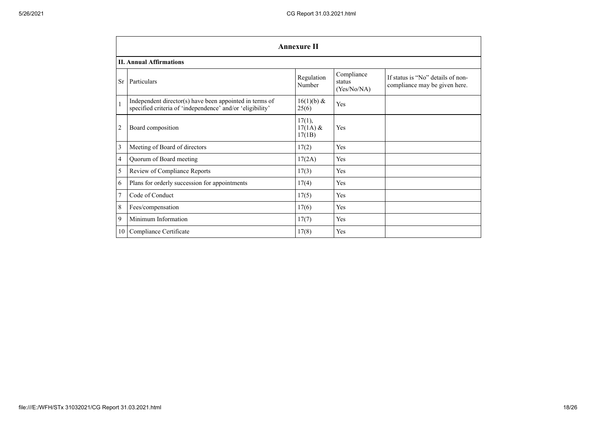|                | <b>Annexure II</b>                                                                                                   |                                   |                                     |                                                                    |  |
|----------------|----------------------------------------------------------------------------------------------------------------------|-----------------------------------|-------------------------------------|--------------------------------------------------------------------|--|
|                | <b>II. Annual Affirmations</b>                                                                                       |                                   |                                     |                                                                    |  |
| <b>Sr</b>      | Particulars                                                                                                          | Regulation<br>Number              | Compliance<br>status<br>(Yes/No/NA) | If status is "No" details of non-<br>compliance may be given here. |  |
| $\mathbf{1}$   | Independent director(s) have been appointed in terms of<br>specified criteria of 'independence' and/or 'eligibility' | $16(1)(b)$ &<br>25(6)             | Yes                                 |                                                                    |  |
| $\overline{c}$ | Board composition                                                                                                    | $17(1)$ ,<br>$17(1A)$ &<br>17(1B) | Yes                                 |                                                                    |  |
| 3              | Meeting of Board of directors                                                                                        | 17(2)                             | Yes                                 |                                                                    |  |
| 4              | Quorum of Board meeting                                                                                              | 17(2A)                            | Yes                                 |                                                                    |  |
| 5              | Review of Compliance Reports                                                                                         | 17(3)                             | Yes                                 |                                                                    |  |
| 6              | Plans for orderly succession for appointments                                                                        | 17(4)                             | Yes                                 |                                                                    |  |
| 7              | Code of Conduct                                                                                                      | 17(5)                             | Yes                                 |                                                                    |  |
| 8              | Fees/compensation                                                                                                    | 17(6)                             | Yes                                 |                                                                    |  |
| 9              | Minimum Information                                                                                                  | 17(7)                             | Yes                                 |                                                                    |  |
| 10             | Compliance Certificate                                                                                               | 17(8)                             | Yes                                 |                                                                    |  |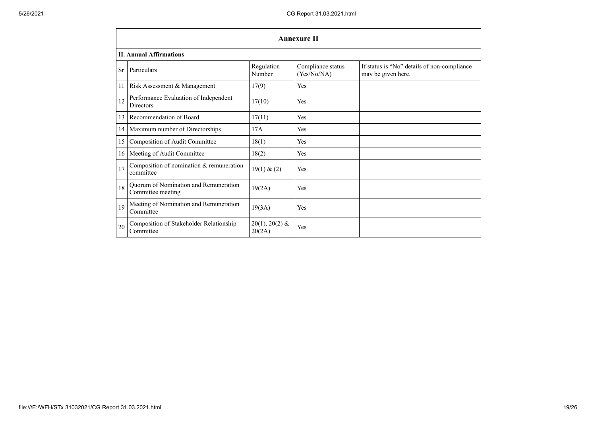|                 | <b>Annexure II</b>                                         |                            |                                  |                                                                   |  |  |
|-----------------|------------------------------------------------------------|----------------------------|----------------------------------|-------------------------------------------------------------------|--|--|
|                 | <b>II. Annual Affirmations</b>                             |                            |                                  |                                                                   |  |  |
| <b>Sr</b>       | Particulars                                                | Regulation<br>Number       | Compliance status<br>(Yes/No/NA) | If status is "No" details of non-compliance<br>may be given here. |  |  |
| 11              | Risk Assessment & Management                               | 17(9)                      | Yes                              |                                                                   |  |  |
| 12              | Performance Evaluation of Independent<br>Directors         | 17(10)                     | Yes                              |                                                                   |  |  |
| 13              | Recommendation of Board                                    | 17(11)                     | Yes                              |                                                                   |  |  |
| 14              | Maximum number of Directorships                            | 17A                        | Yes                              |                                                                   |  |  |
| 15              | Composition of Audit Committee                             | 18(1)                      | Yes                              |                                                                   |  |  |
| 16 <sup>1</sup> | Meeting of Audit Committee                                 | 18(2)                      | Yes                              |                                                                   |  |  |
| 17              | Composition of nomination & remuneration<br>committee      | 19(1) & (2)                | Yes                              |                                                                   |  |  |
| 18              | Quorum of Nomination and Remuneration<br>Committee meeting | 19(2A)                     | Yes                              |                                                                   |  |  |
| 19              | Meeting of Nomination and Remuneration<br>Committee        | 19(3A)                     | Yes                              |                                                                   |  |  |
| 20              | Composition of Stakeholder Relationship<br>Committee       | $20(1), 20(2)$ &<br>20(2A) | Yes                              |                                                                   |  |  |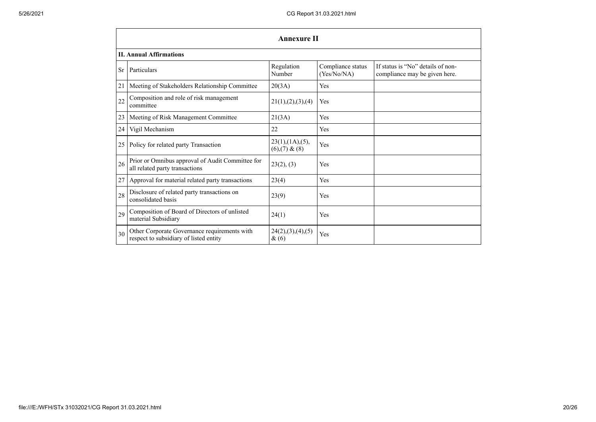|           | <b>Annexure II</b>                                                                     |                                            |                                  |                                                                    |  |  |  |
|-----------|----------------------------------------------------------------------------------------|--------------------------------------------|----------------------------------|--------------------------------------------------------------------|--|--|--|
|           | <b>II. Annual Affirmations</b>                                                         |                                            |                                  |                                                                    |  |  |  |
| <b>Sr</b> | Particulars                                                                            | Regulation<br>Number                       | Compliance status<br>(Yes/No/NA) | If status is "No" details of non-<br>compliance may be given here. |  |  |  |
| 21        | Meeting of Stakeholders Relationship Committee                                         | 20(3A)                                     | Yes                              |                                                                    |  |  |  |
| 22        | Composition and role of risk management<br>committee                                   | 21(1), (2), (3), (4)                       | Yes                              |                                                                    |  |  |  |
| 23        | Meeting of Risk Management Committee                                                   | 21(3A)                                     | Yes                              |                                                                    |  |  |  |
| 24        | Vigil Mechanism                                                                        | 22                                         | Yes                              |                                                                    |  |  |  |
| 25        | Policy for related party Transaction                                                   | $23(1)$ , $(1A)$ , $(5)$ ,<br>(6)(7) & (8) | Yes                              |                                                                    |  |  |  |
| 26        | Prior or Omnibus approval of Audit Committee for<br>all related party transactions     | 23(2), (3)                                 | Yes                              |                                                                    |  |  |  |
| 27        | Approval for material related party transactions                                       | 23(4)                                      | Yes                              |                                                                    |  |  |  |
| 28        | Disclosure of related party transactions on<br>consolidated basis                      | 23(9)                                      | Yes                              |                                                                    |  |  |  |
| 29        | Composition of Board of Directors of unlisted<br>material Subsidiary                   | 24(1)                                      | Yes                              |                                                                    |  |  |  |
| 30        | Other Corporate Governance requirements with<br>respect to subsidiary of listed entity | 24(2), (3), (4), (5)<br>&(6)               | Yes                              |                                                                    |  |  |  |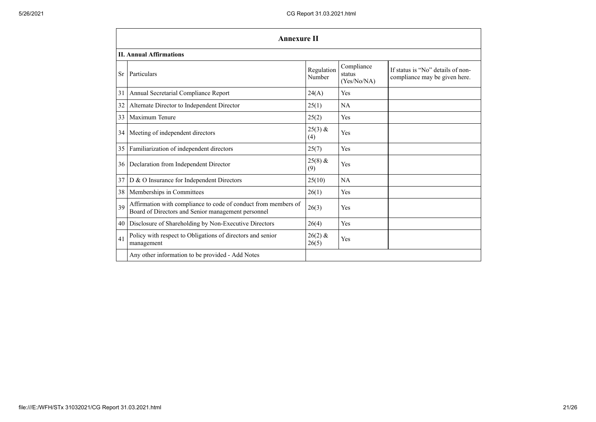|           | <b>Annexure II</b>                                                                                                   |                      |                                     |                                                                    |  |  |
|-----------|----------------------------------------------------------------------------------------------------------------------|----------------------|-------------------------------------|--------------------------------------------------------------------|--|--|
|           | <b>II. Annual Affirmations</b>                                                                                       |                      |                                     |                                                                    |  |  |
| <b>Sr</b> | Particulars                                                                                                          | Regulation<br>Number | Compliance<br>status<br>(Yes/No/NA) | If status is "No" details of non-<br>compliance may be given here. |  |  |
| 31        | Annual Secretarial Compliance Report                                                                                 | 24(A)                | Yes                                 |                                                                    |  |  |
| 32        | Alternate Director to Independent Director                                                                           | 25(1)                | NA                                  |                                                                    |  |  |
| 33        | Maximum Tenure                                                                                                       | 25(2)                | Yes                                 |                                                                    |  |  |
| 34        | Meeting of independent directors                                                                                     | $25(3)$ &<br>(4)     | Yes                                 |                                                                    |  |  |
| 35        | Familiarization of independent directors                                                                             | 25(7)                | Yes                                 |                                                                    |  |  |
| 36        | Declaration from Independent Director                                                                                | $25(8)$ &<br>(9)     | Yes                                 |                                                                    |  |  |
| 37        | D & O Insurance for Independent Directors                                                                            | 25(10)               | NA                                  |                                                                    |  |  |
| 38        | Memberships in Committees                                                                                            | 26(1)                | Yes                                 |                                                                    |  |  |
| 39        | Affirmation with compliance to code of conduct from members of<br>Board of Directors and Senior management personnel | 26(3)                | Yes                                 |                                                                    |  |  |
| 40        | Disclosure of Shareholding by Non-Executive Directors                                                                | 26(4)                | Yes                                 |                                                                    |  |  |
| 41        | Policy with respect to Obligations of directors and senior<br>management                                             | $26(2)$ &<br>26(5)   | Yes                                 |                                                                    |  |  |
|           | Any other information to be provided - Add Notes                                                                     |                      |                                     |                                                                    |  |  |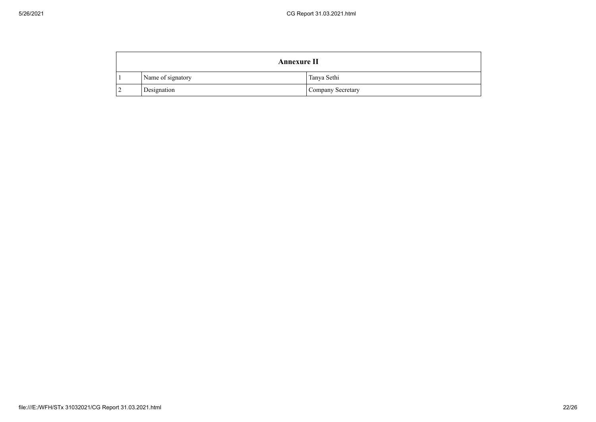| <b>Annexure II</b> |                   |                   |  |
|--------------------|-------------------|-------------------|--|
|                    | Name of signatory | Tanya Sethi       |  |
|                    | Designation       | Company Secretary |  |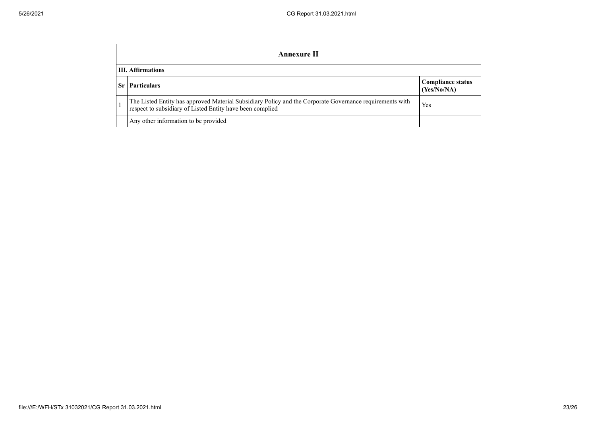|     | Annexure II                                                                                                                                                           |                                  |  |  |  |
|-----|-----------------------------------------------------------------------------------------------------------------------------------------------------------------------|----------------------------------|--|--|--|
|     | <b>III.</b> Affirmations                                                                                                                                              |                                  |  |  |  |
| Sr. | <b>Particulars</b>                                                                                                                                                    | Compliance status<br>(Yes/No/NA) |  |  |  |
|     | The Listed Entity has approved Material Subsidiary Policy and the Corporate Governance requirements with<br>respect to subsidiary of Listed Entity have been complied | Yes                              |  |  |  |
|     | Any other information to be provided                                                                                                                                  |                                  |  |  |  |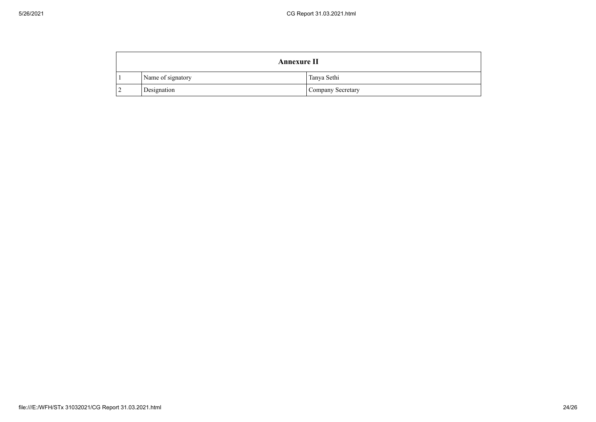| <b>Annexure II</b> |                   |                   |  |
|--------------------|-------------------|-------------------|--|
|                    | Name of signatory | Tanya Sethi       |  |
|                    | Designation       | Company Secretary |  |